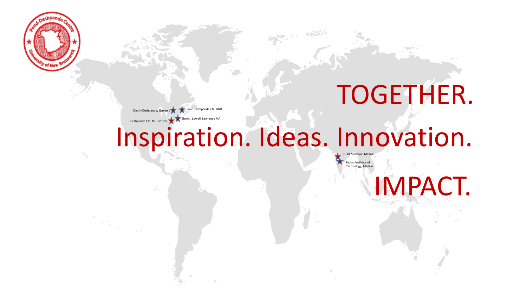

# TOGETHER.

Dunin-Deshpande. Queen's Pond-Deshpande Ctr. UNB Deshpande Ctr. MIT Boston **EforAll, Lowell, Lawrence MA** 

Inspiration. Ideas. Innovation..

Indian Institute of Technology, Madras Hubli Sandbox, Madras

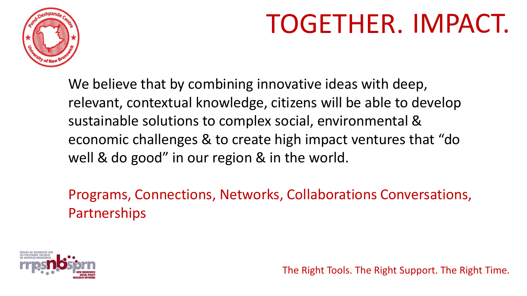

# TOGETHER. IMPACT.

We believe that by combining innovative ideas with deep, relevant, contextual knowledge, citizens will be able to develop sustainable solutions to complex social, environmental & economic challenges & to create high impact ventures that "do well & do good" in our region & in the world.

Programs, Connections, Networks, Collaborations Conversations, **Partnerships** 

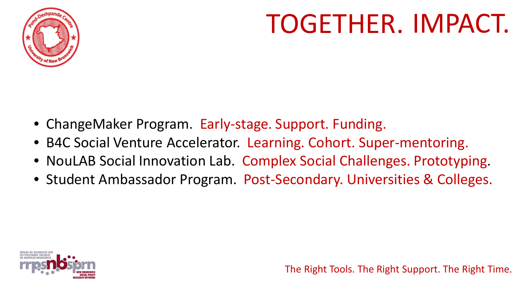

# TOGETHER. IMPACT.

- ChangeMaker Program. Early-stage. Support. Funding.
- B4C Social Venture Accelerator. Learning. Cohort. Super-mentoring.
- NouLAB Social Innovation Lab. Complex Social Challenges. Prototyping.
- Student Ambassador Program. Post-Secondary. Universities & Colleges.

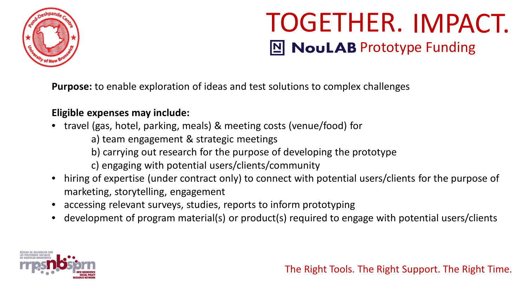

**Purpose:** to enable exploration of ideas and test solutions to complex challenges

### **Eligible expenses may include:**

- travel (gas, hotel, parking, meals) & meeting costs (venue/food) for
	- a) team engagement & strategic meetings
	- b) carrying out research for the purpose of developing the prototype
	- c) engaging with potential users/clients/community
- hiring of expertise (under contract only) to connect with potential users/clients for the purpose of marketing, storytelling, engagement
- accessing relevant surveys, studies, reports to inform prototyping
- development of program material(s) or product(s) required to engage with potential users/clients

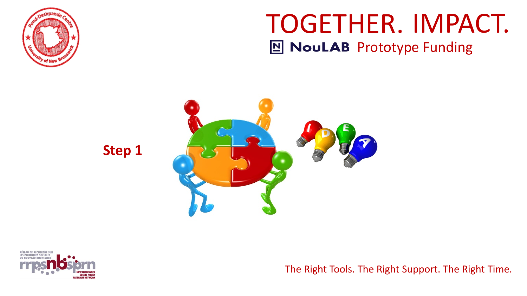



**Step 1**

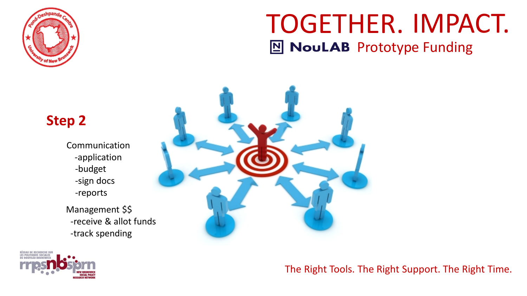



### The Right Tools. The Right Support. The Right Time.

### **Step 2**

- Communication -application -budget -sign docs -reports
- Management \$\$ -receive & allot funds -track spending

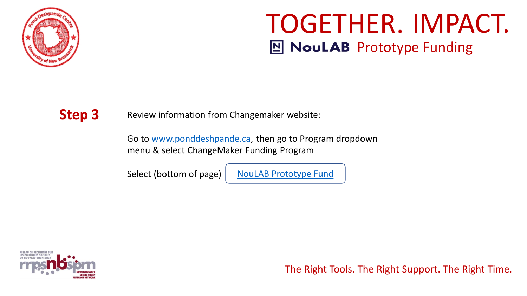

**Step 3** Review information from Changemaker website:

Go to [www.ponddeshpande.ca,](http://www.ponddeshpande.ca/) then go to Program dropdown menu & select ChangeMaker Funding Program

Select (bottom of page) | NouLAB [Prototype Fund](https://www.changemakerfundingprogram.com/noulabprototypefund)

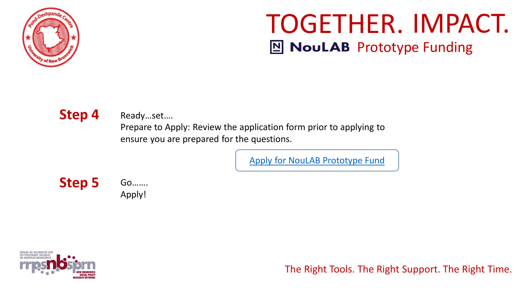

Step 4 Ready...set....

Prepare to Apply: Review the application form prior to applying to ensure you are prepared for the questions.

[Apply for NouLAB](https://ponddeshpande.wufoo.com/forms/s1n9sfv51mpq83i/) Prototype Fund

**Step 5**

Go……. Apply!

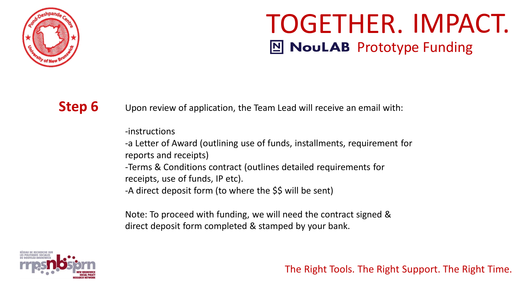

**Step 6** Upon review of application, the Team Lead will receive an email with:

-instructions

-a Letter of Award (outlining use of funds, installments, requirement for reports and receipts)

-Terms & Conditions contract (outlines detailed requirements for receipts, use of funds, IP etc).

-A direct deposit form (to where the \$\$ will be sent)

Note: To proceed with funding, we will need the contract signed & direct deposit form completed & stamped by your bank.

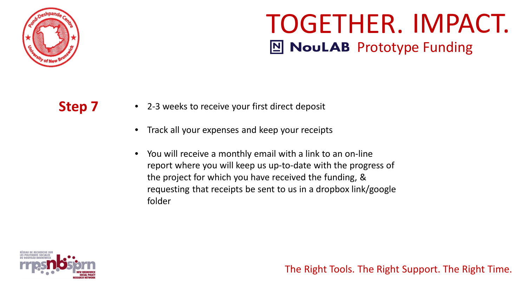

- **Step 7** 2-3 weeks to receive your first direct deposit
	- Track all your expenses and keep your receipts
	- You will receive a monthly email with a link to an on-line report where you will keep us up-to-date with the progress of the project for which you have received the funding, & requesting that receipts be sent to us in a dropbox link/google folder

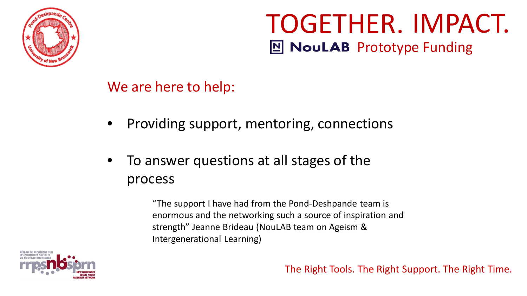

We are here to help:

- Providing support, mentoring, connections
- To answer questions at all stages of the process

"The support I have had from the Pond-Deshpande team is enormous and the networking such a source of inspiration and strength" Jeanne Brideau (NouLAB team on Ageism & Intergenerational Learning)

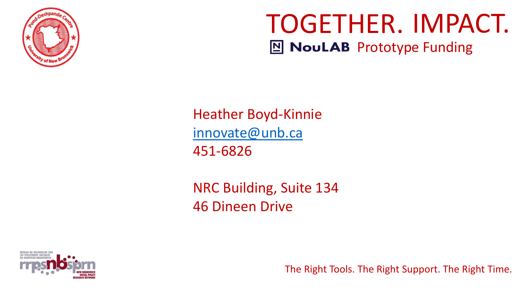

Heather Boyd-Kinnie [innovate@unb.ca](mailto:innovate@unb.ca) 451-6826

NRC Building, Suite 134 46 Dineen Drive